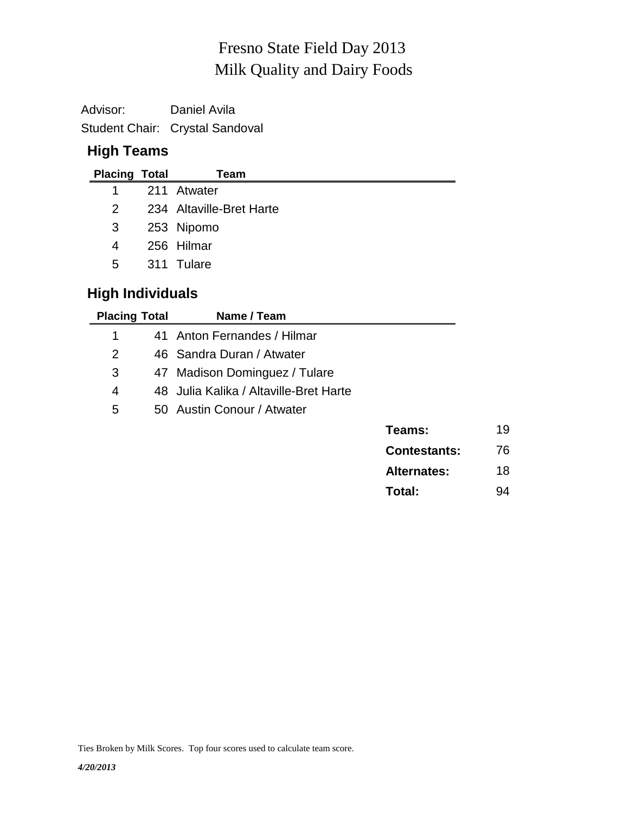# Milk Quality and Dairy Foods Fresno State Field Day 2013

Advisor: Daniel Avila Student Chair: Crystal Sandoval

#### **High Teams**

| <b>Placing Total</b> | Team                     |
|----------------------|--------------------------|
|                      | 1 211 Atwater            |
| 2                    | 234 Altaville-Bret Harte |
| 3                    | 253 Nipomo               |
| 4                    | 256 Hilmar               |
| 5                    | 311 Tulare               |

## **High Individuals**

| <b>Placing Total</b> | Name / Team                            |                     |
|----------------------|----------------------------------------|---------------------|
| 1                    | 41 Anton Fernandes / Hilmar            |                     |
| 2                    | 46 Sandra Duran / Atwater              |                     |
| 3                    | 47 Madison Dominguez / Tulare          |                     |
| 4                    | 48 Julia Kalika / Altaville-Bret Harte |                     |
| 5                    | 50 Austin Conour / Atwater             |                     |
|                      |                                        | Teams:              |
|                      |                                        | <b>Contestants:</b> |
|                      |                                        |                     |

| <b>Alternates:</b> | 18 |
|--------------------|----|
| Total:             | 94 |

**Teams:** 19

**Contestants:** 76

Ties Broken by Milk Scores. Top four scores used to calculate team score.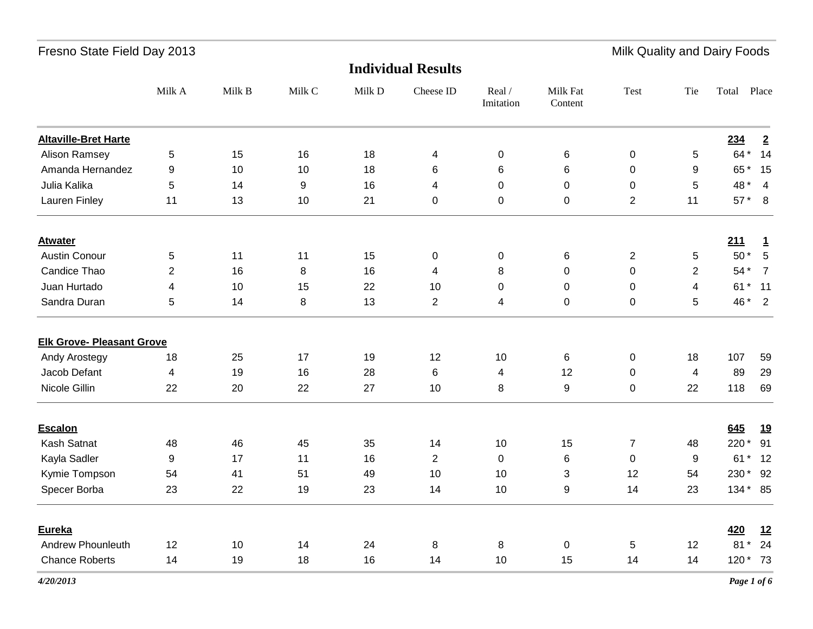|                                  |                  |        |        |        | <b>Individual Results</b> |                     |                     |                  |                  |               |                         |
|----------------------------------|------------------|--------|--------|--------|---------------------------|---------------------|---------------------|------------------|------------------|---------------|-------------------------|
|                                  | Milk A           | Milk B | Milk C | Milk D | Cheese ID                 | Real /<br>Imitation | Milk Fat<br>Content | Test             | Tie              | Total         | Place                   |
| <b>Altaville-Bret Harte</b>      |                  |        |        |        |                           |                     |                     |                  |                  | 234           | $\overline{2}$          |
| <b>Alison Ramsey</b>             | 5                | 15     | 16     | 18     | 4                         | 0                   | 6                   | $\mathbf 0$      | 5                | 64 *          | 14                      |
| Amanda Hernandez                 | 9                | 10     | 10     | 18     | $\,6$                     | 6                   | $\,6$               | $\pmb{0}$        | 9                | 65* 15        |                         |
| Julia Kalika                     | 5                | 14     | 9      | 16     | 4                         | 0                   | $\mathsf 0$         | $\pmb{0}$        | 5                | 48 *          | $\overline{\mathbf{4}}$ |
| Lauren Finley                    | 11               | 13     | 10     | 21     | $\pmb{0}$                 | 0                   | 0                   | $\overline{2}$   | 11               | $57*8$        |                         |
| <b>Atwater</b>                   |                  |        |        |        |                           |                     |                     |                  |                  | 211           | $\mathbf{1}$            |
| <b>Austin Conour</b>             | 5                | 11     | 11     | 15     | $\pmb{0}$                 | 0                   | 6                   | $\overline{2}$   | 5                | $50*$         | $5\phantom{.0}$         |
| Candice Thao                     | $\overline{2}$   | 16     | 8      | 16     | 4                         | 8                   | $\mathbf 0$         | 0                | $\overline{2}$   | 54 *          | $\overline{7}$          |
| Juan Hurtado                     | 4                | 10     | 15     | 22     | 10                        | 0                   | $\mathbf 0$         | $\mathbf 0$      | 4                | 61 * 11       |                         |
| Sandra Duran                     | 5                | 14     | 8      | 13     | $\overline{2}$            | 4                   | $\mathbf 0$         | $\pmb{0}$        | 5                | 46 * 2        |                         |
| <b>Elk Grove- Pleasant Grove</b> |                  |        |        |        |                           |                     |                     |                  |                  |               |                         |
| Andy Arostegy                    | 18               | 25     | 17     | 19     | 12                        | 10                  | 6                   | $\mathbf 0$      | 18               | 107           | 59                      |
| Jacob Defant                     | 4                | 19     | 16     | 28     | $\,6$                     | 4                   | 12                  | $\mathbf 0$      | 4                | 89            | 29                      |
| Nicole Gillin                    | 22               | 20     | 22     | 27     | 10                        | 8                   | $\boldsymbol{9}$    | $\pmb{0}$        | 22               | 118           | 69                      |
| Escalon                          |                  |        |        |        |                           |                     |                     |                  |                  | 645           | <u>19</u>               |
| Kash Satnat                      | 48               | 46     | 45     | 35     | 14                        | 10                  | 15                  | $\boldsymbol{7}$ | 48               | 220*          | 91                      |
| Kayla Sadler                     | $\boldsymbol{9}$ | 17     | 11     | 16     | $\overline{2}$            | 0                   | 6                   | $\mathbf 0$      | $\boldsymbol{9}$ | 61<br>$\star$ | 12                      |
| Kymie Tompson                    | 54               | 41     | 51     | 49     | 10                        | 10                  | 3                   | 12               | 54               | 230 *         | 92                      |
| Specer Borba                     | 23               | 22     | 19     | 23     | 14                        | 10                  | 9                   | 14               | 23               | 134 * 85      |                         |
| Eureka                           |                  |        |        |        |                           |                     |                     |                  |                  | <b>420</b>    | 12                      |
| Andrew Phounleuth                | 12               | 10     | 14     | 24     | 8                         | 8                   | $\mathsf 0$         | 5                | 12               | $81*$         | 24                      |
| <b>Chance Roberts</b>            | 14               | 19     | 18     | 16     | 14                        | 10                  | 15                  | 14               | 14               | 120 * 73      |                         |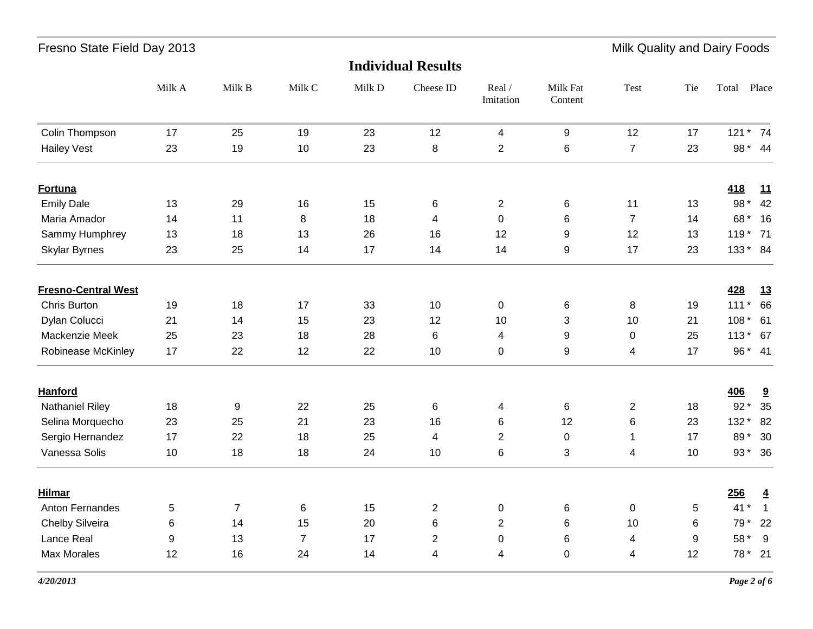| Fresno State Field Day 2013 |  |  |  |
|-----------------------------|--|--|--|
|-----------------------------|--|--|--|

Milk Quality and Dairy Foods

|                            |        |                |                |        | <b>Individual Results</b> |                     |                     |                |     |                |                         |
|----------------------------|--------|----------------|----------------|--------|---------------------------|---------------------|---------------------|----------------|-----|----------------|-------------------------|
|                            | Milk A | Milk B         | Milk C         | Milk D | Cheese ID                 | Real /<br>Imitation | Milk Fat<br>Content | Test           | Tie | Total<br>Place |                         |
| Colin Thompson             | 17     | 25             | 19             | 23     | 12                        | 4                   | $\boldsymbol{9}$    | 12             | 17  | 121 * 74       |                         |
| <b>Hailey Vest</b>         | 23     | 19             | 10             | 23     | $\bf 8$                   | $\overline{2}$      | 6                   | $\overline{7}$ | 23  | 98 * 44        |                         |
| <b>Fortuna</b>             |        |                |                |        |                           |                     |                     |                |     | <u>418</u>     | 11                      |
| <b>Emily Dale</b>          | 13     | 29             | 16             | 15     | 6                         | $\overline{c}$      | 6                   | 11             | 13  | 98 *           | 42                      |
| Maria Amador               | 14     | 11             | 8              | 18     | 4                         | $\mathsf{O}\xspace$ | 6                   | $\overline{7}$ | 14  | 68* 16         |                         |
| Sammy Humphrey             | 13     | 18             | 13             | 26     | 16                        | 12                  | 9                   | 12             | 13  | 119 * 71       |                         |
| <b>Skylar Byrnes</b>       | 23     | 25             | 14             | 17     | 14                        | 14                  | 9                   | 17             | 23  | 133 * 84       |                         |
| <b>Fresno-Central West</b> |        |                |                |        |                           |                     |                     |                |     | 428            | 13                      |
| Chris Burton               | 19     | 18             | 17             | 33     | 10                        | $\pmb{0}$           | 6                   | 8              | 19  | $111*$         | 66                      |
| Dylan Colucci              | 21     | 14             | 15             | 23     | 12                        | 10                  | 3                   | 10             | 21  | 108 * 61       |                         |
| Mackenzie Meek             | 25     | 23             | 18             | 28     | $\,6$                     | 4                   | 9                   | 0              | 25  | 113 * 67       |                         |
| Robinease McKinley         | 17     | 22             | 12             | 22     | 10                        | $\mathbf 0$         | 9                   | 4              | 17  | 96* 41         |                         |
| <b>Hanford</b>             |        |                |                |        |                           |                     |                     |                |     | <b>406</b>     | $\overline{\mathbf{a}}$ |
| <b>Nathaniel Riley</b>     | 18     | 9              | 22             | 25     | $\,6$                     | 4                   | 6                   | $\overline{2}$ | 18  | $92*$          | 35                      |
| Selina Morquecho           | 23     | 25             | 21             | 23     | 16                        | 6                   | 12                  | 6              | 23  | 132 *          | 82                      |
| Sergio Hernandez           | 17     | 22             | 18             | 25     | 4                         | $\overline{2}$      | $\pmb{0}$           | $\mathbf{1}$   | 17  | 89*            | 30                      |
| Vanessa Solis              | 10     | 18             | 18             | 24     | 10                        | 6                   | 3                   | 4              | 10  | 93 * 36        |                         |
| <b>Hilmar</b>              |        |                |                |        |                           |                     |                     |                |     | 256            | $\overline{4}$          |
| Anton Fernandes            | 5      | $\overline{7}$ | 6              | 15     | $\sqrt{2}$                | 0                   | 6                   | $\pmb{0}$      | 5   | $41*$          | $\overline{1}$          |
| Chelby Silveira            | 6      | 14             | 15             | 20     | 6                         | $\overline{2}$      | 6                   | 10             | 6   | 79 * 22        |                         |
| Lance Real                 | 9      | 13             | $\overline{7}$ | 17     | $\overline{2}$            | $\mathbf 0$         | 6                   | 4              | 9   | 58 *           | 9                       |
| <b>Max Morales</b>         | 12     | 16             | 24             | 14     | 4                         | 4                   | 0                   | 4              | 12  | 78 * 21        |                         |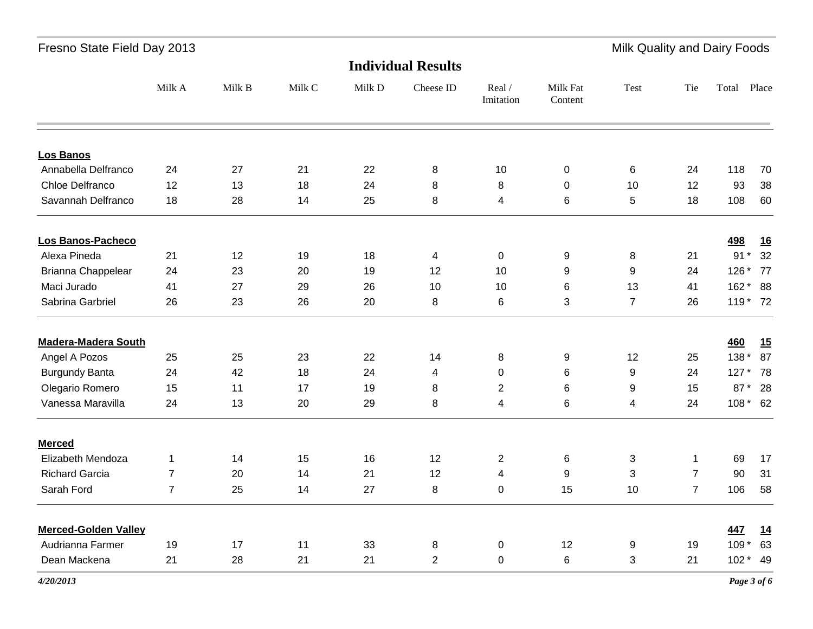|                             |                |        |        |        | <b>Individual Results</b> |                     |                     |                |                |            |           |
|-----------------------------|----------------|--------|--------|--------|---------------------------|---------------------|---------------------|----------------|----------------|------------|-----------|
|                             | Milk A         | Milk B | Milk C | Milk D | Cheese ID                 | Real /<br>Imitation | Milk Fat<br>Content | Test           | Tie            | Total      | Place     |
| <b>Los Banos</b>            |                |        |        |        |                           |                     |                     |                |                |            |           |
| Annabella Delfranco         | 24             | 27     | 21     | 22     | 8                         | 10                  | $\pmb{0}$           | 6              | 24             | 118        | 70        |
| Chloe Delfranco             | 12             | 13     | 18     | 24     | 8                         | 8                   | 0                   | 10             | 12             | 93         | 38        |
| Savannah Delfranco          | 18             | 28     | 14     | 25     | 8                         | $\overline{4}$      | 6                   | 5              | 18             | 108        | 60        |
| Los Banos-Pacheco           |                |        |        |        |                           |                     |                     |                |                | <u>498</u> | <u>16</u> |
| Alexa Pineda                | 21             | 12     | 19     | 18     | $\overline{\mathbf{4}}$   | $\pmb{0}$           | 9                   | 8              | 21             | $91*$      | 32        |
| Brianna Chappelear          | 24             | 23     | 20     | 19     | 12                        | 10                  | 9                   | 9              | 24             | 126 * 77   |           |
| Maci Jurado                 | 41             | 27     | 29     | 26     | 10                        | 10                  | 6                   | 13             | 41             | 162 * 88   |           |
| Sabrina Garbriel            | 26             | 23     | 26     | 20     | 8                         | 6                   | 3                   | $\overline{7}$ | 26             | 119 * 72   |           |
| <b>Madera-Madera South</b>  |                |        |        |        |                           |                     |                     |                |                | 460        | <u>15</u> |
| Angel A Pozos               | 25             | 25     | 23     | 22     | 14                        | 8                   | 9                   | 12             | 25             | $138*$     | 87        |
| <b>Burgundy Banta</b>       | 24             | 42     | 18     | 24     | $\overline{\mathbf{4}}$   | $\mathbf 0$         | 6                   | 9              | 24             | 127 * 78   |           |
| Olegario Romero             | 15             | 11     | 17     | 19     | 8                         | $\overline{2}$      | 6                   | 9              | 15             | 87 * 28    |           |
| Vanessa Maravilla           | 24             | 13     | 20     | 29     | $\bf 8$                   | $\overline{4}$      | 6                   | 4              | 24             | 108 * 62   |           |
| <b>Merced</b>               |                |        |        |        |                           |                     |                     |                |                |            |           |
| Elizabeth Mendoza           | $\mathbf 1$    | 14     | 15     | 16     | 12                        | $\overline{c}$      | 6                   | $\sqrt{3}$     | $\mathbf{1}$   | 69         | 17        |
| <b>Richard Garcia</b>       | $\overline{7}$ | 20     | 14     | 21     | 12                        | $\overline{4}$      | 9                   | 3              | $\overline{7}$ | 90         | 31        |
| Sarah Ford                  | $\overline{7}$ | 25     | 14     | 27     | $\, 8$                    | 0                   | 15                  | 10             | $\overline{7}$ | 106        | 58        |
| <b>Merced-Golden Valley</b> |                |        |        |        |                           |                     |                     |                |                | 447        | <u>14</u> |
| Audrianna Farmer            | 19             | 17     | 11     | 33     | 8                         | $\pmb{0}$           | 12                  | 9              | 19             | $109*$     | 63        |
| Dean Mackena                | 21             | 28     | 21     | 21     | $\overline{2}$            | $\pmb{0}$           | 6                   | 3              | 21             | $102 * 49$ |           |
|                             |                |        |        |        |                           |                     |                     |                |                |            |           |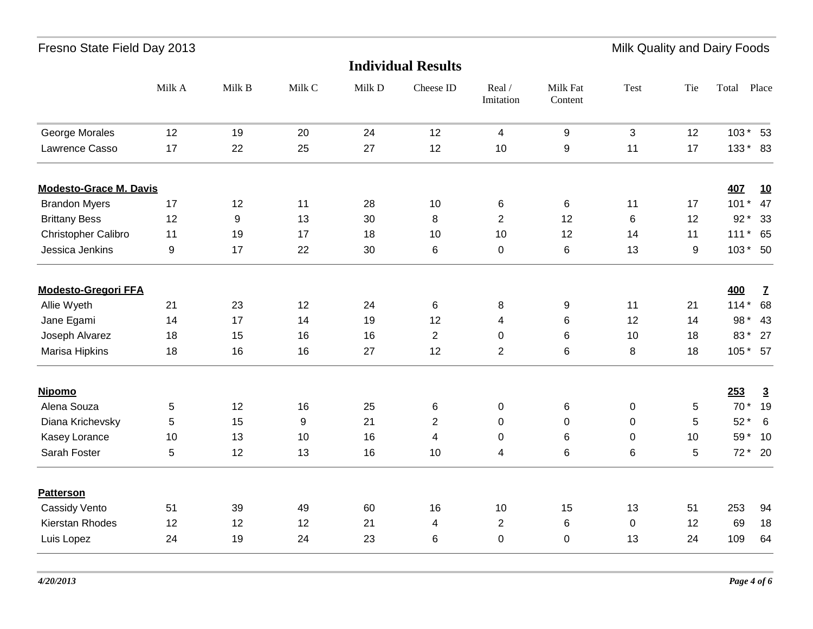| Fresno State Field Day 2013 |  |  |
|-----------------------------|--|--|
|-----------------------------|--|--|

Milk Quality and Dairy Foods

|                               |        |        |        |        | <b>Individual Results</b> |                         |                     |              |                  |          |                 |
|-------------------------------|--------|--------|--------|--------|---------------------------|-------------------------|---------------------|--------------|------------------|----------|-----------------|
|                               | Milk A | Milk B | Milk C | Milk D | Cheese ID                 | Real /<br>Imitation     | Milk Fat<br>Content | Test         | Tie              | Total    | Place           |
| George Morales                | 12     | 19     | 20     | 24     | 12                        | $\overline{\mathbf{4}}$ | 9                   | $\mathbf{3}$ | 12               | $103*53$ |                 |
| Lawrence Casso                | 17     | 22     | 25     | 27     | 12                        | 10                      | $\boldsymbol{9}$    | 11           | 17               | 133 * 83 |                 |
| <b>Modesto-Grace M. Davis</b> |        |        |        |        |                           |                         |                     |              |                  | 407      | 10              |
| <b>Brandon Myers</b>          | 17     | 12     | 11     | 28     | 10                        | 6                       | 6                   | 11           | 17               | $101*$   | 47              |
| <b>Brittany Bess</b>          | 12     | 9      | 13     | 30     | 8                         | $\overline{2}$          | 12                  | 6            | 12               | $92*$    | 33              |
| Christopher Calibro           | 11     | 19     | 17     | 18     | 10                        | 10                      | 12                  | 14           | 11               | 111 * 65 |                 |
| Jessica Jenkins               | 9      | 17     | 22     | 30     | $\,6$                     | 0                       | 6                   | 13           | $\boldsymbol{9}$ | $103*50$ |                 |
| <b>Modesto-Gregori FFA</b>    |        |        |        |        |                           |                         |                     |              |                  | 400      | $\mathbf{Z}$    |
| Allie Wyeth                   | 21     | 23     | 12     | 24     | $\,6$                     | 8                       | 9                   | 11           | 21               | $114*$   | 68              |
| Jane Egami                    | 14     | 17     | 14     | 19     | 12                        | 4                       | 6                   | 12           | 14               | 98 *     | 43              |
| Joseph Alvarez                | 18     | 15     | 16     | 16     | $\overline{2}$            | 0                       | $6\phantom{1}6$     | 10           | 18               | 83*      | 27              |
| Marisa Hipkins                | 18     | 16     | 16     | 27     | 12                        | $\overline{2}$          | $\,6$               | 8            | 18               | 105 * 57 |                 |
| <b>Nipomo</b>                 |        |        |        |        |                           |                         |                     |              |                  | 253      | $\overline{3}$  |
| Alena Souza                   | 5      | 12     | 16     | 25     | $\,6$                     | 0                       | $6\phantom{1}6$     | $\pmb{0}$    | 5                | $70*$    | 19              |
| Diana Krichevsky              | 5      | 15     | 9      | 21     | $\overline{2}$            | 0                       | $\mathbf 0$         | $\mathbf 0$  | 5                | $52*$    | $6\overline{6}$ |
| Kasey Lorance                 | 10     | 13     | 10     | 16     | 4                         | 0                       | 6                   | 0            | 10               | 59 * 10  |                 |
| Sarah Foster                  | 5      | 12     | 13     | 16     | 10                        | 4                       | 6                   | 6            | 5                |          | 72 * 20         |
| <b>Patterson</b>              |        |        |        |        |                           |                         |                     |              |                  |          |                 |
| Cassidy Vento                 | 51     | 39     | 49     | 60     | 16                        | 10                      | 15                  | 13           | 51               | 253      | 94              |
| Kierstan Rhodes               | 12     | 12     | 12     | 21     | 4                         | $\overline{2}$          | 6                   | $\mathbf 0$  | 12               | 69       | 18              |
| Luis Lopez                    | 24     | 19     | 24     | 23     | $\,6$                     | 0                       | $\mathbf 0$         | 13           | 24               | 109      | 64              |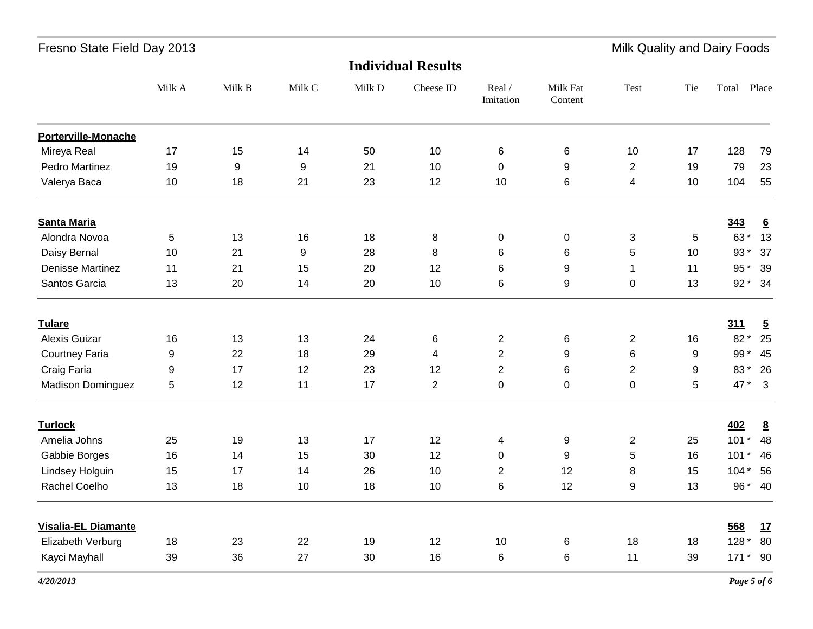|                            | <b>Individual Results</b> |                  |                  |        |                         |                     |                     |                  |     |                |                         |  |
|----------------------------|---------------------------|------------------|------------------|--------|-------------------------|---------------------|---------------------|------------------|-----|----------------|-------------------------|--|
|                            | Milk A                    | Milk B           | Milk C           | Milk D | Cheese ID               | Real /<br>Imitation | Milk Fat<br>Content | Test             | Tie | Total          | Place                   |  |
| Porterville-Monache        |                           |                  |                  |        |                         |                     |                     |                  |     |                |                         |  |
| Mireya Real                | 17                        | 15               | 14               | 50     | 10                      | 6                   | $\,6$               | 10               | 17  | 128            | 79                      |  |
| Pedro Martinez             | 19                        | $\boldsymbol{9}$ | $\boldsymbol{9}$ | 21     | 10                      | 0                   | 9                   | $\mathbf{2}$     | 19  | 79             | 23                      |  |
| Valerya Baca               | 10                        | 18               | 21               | 23     | 12                      | 10                  | $\,6$               | 4                | 10  | 104            | 55                      |  |
| <b>Santa Maria</b>         |                           |                  |                  |        |                         |                     |                     |                  |     | 343            | $6 \overline{6}$        |  |
| Alondra Novoa              | 5                         | 13               | 16               | 18     | 8                       | 0                   | $\pmb{0}$           | $\sqrt{3}$       | 5   | 63*            | 13                      |  |
| Daisy Bernal               | 10                        | 21               | 9                | 28     | 8                       | 6                   | 6                   | $\sqrt{5}$       | 10  | 93 *           | 37                      |  |
| Denisse Martinez           | 11                        | 21               | 15               | 20     | 12                      | 6                   | 9                   | $\mathbf{1}$     | 11  | $95*$          | 39                      |  |
| Santos Garcia              | 13                        | 20               | 14               | 20     | 10                      | 6                   | 9                   | $\pmb{0}$        | 13  | $92*$          | - 34                    |  |
| <b>Tulare</b>              |                           |                  |                  |        |                         |                     |                     |                  |     | 311            | $\overline{5}$          |  |
| Alexis Guizar              | 16                        | 13               | 13               | 24     | 6                       | $\overline{c}$      | $\,6$               | $\boldsymbol{2}$ | 16  | 82 *           | 25                      |  |
| <b>Courtney Faria</b>      | 9                         | 22               | 18               | 29     | $\overline{\mathbf{4}}$ | $\overline{2}$      | 9                   | 6                | 9   | 99*            | 45                      |  |
| Craig Faria                | 9                         | 17               | 12               | 23     | 12                      | $\overline{2}$      | 6                   | $\overline{2}$   | 9   | 83*            | - 26                    |  |
| <b>Madison Dominguez</b>   | 5                         | 12               | 11               | 17     | $\overline{2}$          | 0                   | $\pmb{0}$           | $\pmb{0}$        | 5   | 47*            | $\overline{\mathbf{3}}$ |  |
| <b>Turlock</b>             |                           |                  |                  |        |                         |                     |                     |                  |     | 402            | $\underline{8}$         |  |
| Amelia Johns               | 25                        | 19               | 13               | 17     | 12                      | 4                   | 9                   | 2                | 25  | 101<br>$\star$ | 48                      |  |
| Gabbie Borges              | 16                        | 14               | 15               | 30     | 12                      | 0                   | 9                   | 5                | 16  | 101<br>$\star$ | 46                      |  |
| Lindsey Holguin            | 15                        | 17               | 14               | 26     | 10                      | $\overline{2}$      | 12                  | 8                | 15  | $104*$         | 56                      |  |
| Rachel Coelho              | 13                        | 18               | 10               | 18     | 10                      | 6                   | 12                  | 9                | 13  |                | 96 * 40                 |  |
| <b>Visalia-EL Diamante</b> |                           |                  |                  |        |                         |                     |                     |                  |     | 568            | <u>17</u>               |  |
| Elizabeth Verburg          | 18                        | 23               | 22               | 19     | 12                      | 10                  | 6                   | 18               | 18  | 128 *          | 80                      |  |
| Kayci Mayhall              | 39                        | 36               | 27               | 30     | 16                      | 6                   | 6                   | 11               | 39  | $171*$         | 90                      |  |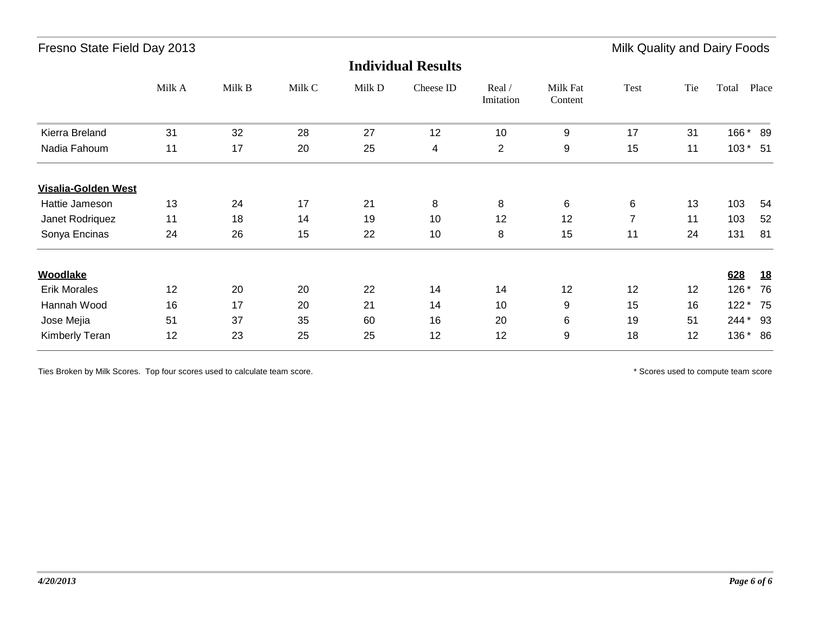|                            |        |        |        |        | <b>Individual Results</b> |                     |                     |                |     |            |           |
|----------------------------|--------|--------|--------|--------|---------------------------|---------------------|---------------------|----------------|-----|------------|-----------|
|                            | Milk A | Milk B | Milk C | Milk D | Cheese ID                 | Real /<br>Imitation | Milk Fat<br>Content | Test           | Tie | Total      | Place     |
| Kierra Breland             | 31     | 32     | 28     | 27     | 12                        | 10                  | 9                   | 17             | 31  | 166 *      | 89        |
| Nadia Fahoum               | 11     | 17     | 20     | 25     | 4                         | $\overline{2}$      | 9                   | 15             | 11  | $103 * 51$ |           |
| <b>Visalia-Golden West</b> |        |        |        |        |                           |                     |                     |                |     |            |           |
| Hattie Jameson             | 13     | 24     | 17     | 21     | 8                         | 8                   | 6                   | 6              | 13  | 103        | 54        |
| Janet Rodriquez            | 11     | 18     | 14     | 19     | 10                        | 12                  | 12                  | $\overline{7}$ | 11  | 103        | 52        |
| Sonya Encinas              | 24     | 26     | 15     | 22     | 10                        | 8                   | 15                  | 11             | 24  | 131        | 81        |
| <b>Woodlake</b>            |        |        |        |        |                           |                     |                     |                |     | 628        | <u>18</u> |
| <b>Erik Morales</b>        | 12     | 20     | 20     | 22     | 14                        | 14                  | 12                  | 12             | 12  | $126*$     | 76        |
| Hannah Wood                | 16     | 17     | 20     | 21     | 14                        | 10                  | 9                   | 15             | 16  | $122*$     | 75        |
| Jose Mejia                 | 51     | 37     | 35     | 60     | 16                        | 20                  | 6                   | 19             | 51  | 244 *      | 93        |
| Kimberly Teran             | 12     | 23     | 25     | 25     | 12                        | 12                  | 9                   | 18             | 12  | 136 * 86   |           |

Ties Broken by Milk Scores. Top four scores used to calculate team score. The score is a second to compute team score is a second of the scores used to compute team score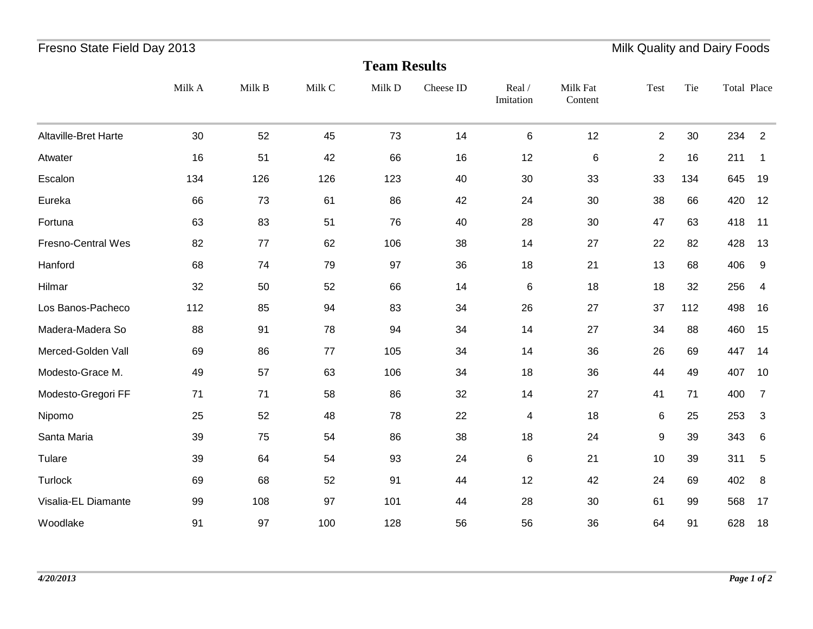## Fresno State Field Day 2013 **Milk Quality and Dairy Foods** Fresno State Field Dairy Foods

|                      | <b>Team Results</b> |        |        |        |           |                     |                     |                |     |             |                |  |  |
|----------------------|---------------------|--------|--------|--------|-----------|---------------------|---------------------|----------------|-----|-------------|----------------|--|--|
|                      | Milk A              | Milk B | Milk C | Milk D | Cheese ID | Real /<br>Imitation | Milk Fat<br>Content | Test           | Tie | Total Place |                |  |  |
| Altaville-Bret Harte | 30                  | 52     | 45     | 73     | 14        | $\,6$               | 12                  | $\overline{c}$ | 30  | 234         | $\overline{2}$ |  |  |
| Atwater              | 16                  | 51     | 42     | 66     | 16        | 12                  | 6                   | $\overline{2}$ | 16  | 211         | $\mathbf 1$    |  |  |
| Escalon              | 134                 | 126    | 126    | 123    | 40        | 30                  | 33                  | 33             | 134 | 645         | 19             |  |  |
| Eureka               | 66                  | 73     | 61     | 86     | 42        | 24                  | 30                  | 38             | 66  | 420         | 12             |  |  |
| Fortuna              | 63                  | 83     | 51     | 76     | 40        | 28                  | 30                  | 47             | 63  | 418         | 11             |  |  |
| Fresno-Central Wes   | 82                  | 77     | 62     | 106    | 38        | 14                  | 27                  | 22             | 82  | 428         | 13             |  |  |
| Hanford              | 68                  | 74     | 79     | 97     | 36        | 18                  | 21                  | 13             | 68  | 406         | 9              |  |  |
| Hilmar               | 32                  | 50     | 52     | 66     | 14        | $\,6$               | 18                  | 18             | 32  | 256         | 4              |  |  |
| Los Banos-Pacheco    | 112                 | 85     | 94     | 83     | 34        | 26                  | 27                  | 37             | 112 | 498         | 16             |  |  |
| Madera-Madera So     | 88                  | 91     | 78     | 94     | 34        | 14                  | 27                  | 34             | 88  | 460         | 15             |  |  |
| Merced-Golden Vall   | 69                  | 86     | 77     | 105    | 34        | 14                  | 36                  | 26             | 69  | 447         | 14             |  |  |
| Modesto-Grace M.     | 49                  | 57     | 63     | 106    | 34        | 18                  | 36                  | 44             | 49  | 407         | 10             |  |  |
| Modesto-Gregori FF   | 71                  | 71     | 58     | 86     | 32        | 14                  | 27                  | 41             | 71  | 400         | 7              |  |  |
| Nipomo               | 25                  | 52     | 48     | 78     | 22        | $\overline{4}$      | 18                  | 6              | 25  | 253         | 3              |  |  |
| Santa Maria          | 39                  | 75     | 54     | 86     | 38        | 18                  | 24                  | 9              | 39  | 343         | $\,6$          |  |  |
| Tulare               | 39                  | 64     | 54     | 93     | 24        | $\,6$               | 21                  | 10             | 39  | 311         | 5              |  |  |
| Turlock              | 69                  | 68     | 52     | 91     | 44        | 12                  | 42                  | 24             | 69  | 402         | 8              |  |  |
| Visalia-EL Diamante  | 99                  | 108    | 97     | 101    | 44        | 28                  | 30                  | 61             | 99  | 568         | 17             |  |  |
| Woodlake             | 91                  | 97     | 100    | 128    | 56        | 56                  | 36                  | 64             | 91  | 628         | 18             |  |  |